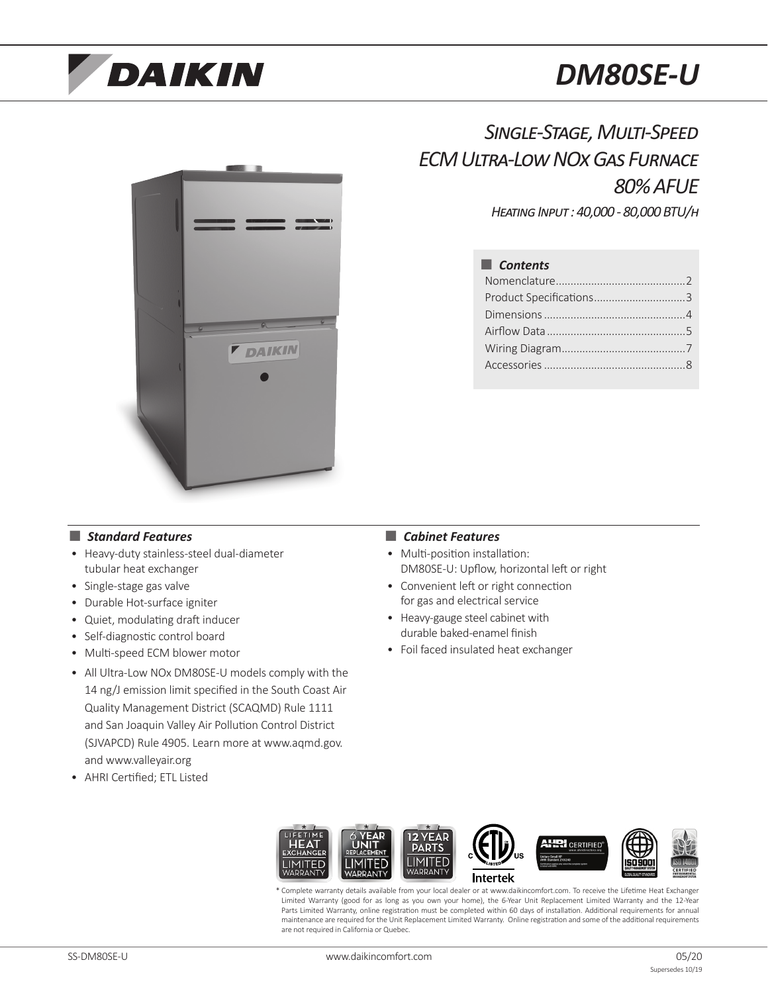# **DAIKIN**

# *DM80SE-U*



## *Single-Stage, Multi-Speed ECM Ultra-Low NOx Gas Furnace 80% AFUE*

*Heating Input : 40,000 - 80,000 BTU/h*

## ■ *Contents* Nomenclature............................................2 Product Specifications...............................3 Dimensions................................................4 Airflow Data...............................................5 Wiring Diagram..........................................7 Accessories................................................8

## ■ *Standard Features* ● *Cabinet Features*

- Heavy-duty stainless-steel dual-diameter tubular heat exchanger
- Single-stage gas valve
- Durable Hot-surface igniter
- Quiet, modulating draft inducer
- Self-diagnostic control board
- Multi-speed ECM blower motor
- All Ultra-Low NOx DM80SE-U models comply with the 14 ng/J emission limit specified in the South Coast Air Quality Management District (SCAQMD) Rule 1111 and San Joaquin Valley Air Pollution Control District (SJVAPCD) Rule 4905. Learn more at www.aqmd.gov. and www.valleyair.org
- AHRI Certified; ETL Listed

- Multi-position installation: DM80SE-U: Upflow, horizontal left or right
- Convenient left or right connection for gas and electrical service
- Heavy-gauge steel cabinet with durable baked-enamel finish
- Foil faced insulated heat exchanger



Complete warranty details available from your local dealer or at www.daikincomfort.com. To receive the Lifetime Heat Exchanger Limited Warranty (good for as long as you own your home), the 6-Year Unit Replacement Limited Warranty and the 12-Year Parts Limited Warranty, online registration must be completed within 60 days of installation. Additional requirements for annual maintenance are required for the Unit Replacement Limited Warranty. Online registration and some of the additional requirements are not required in California or Quebec.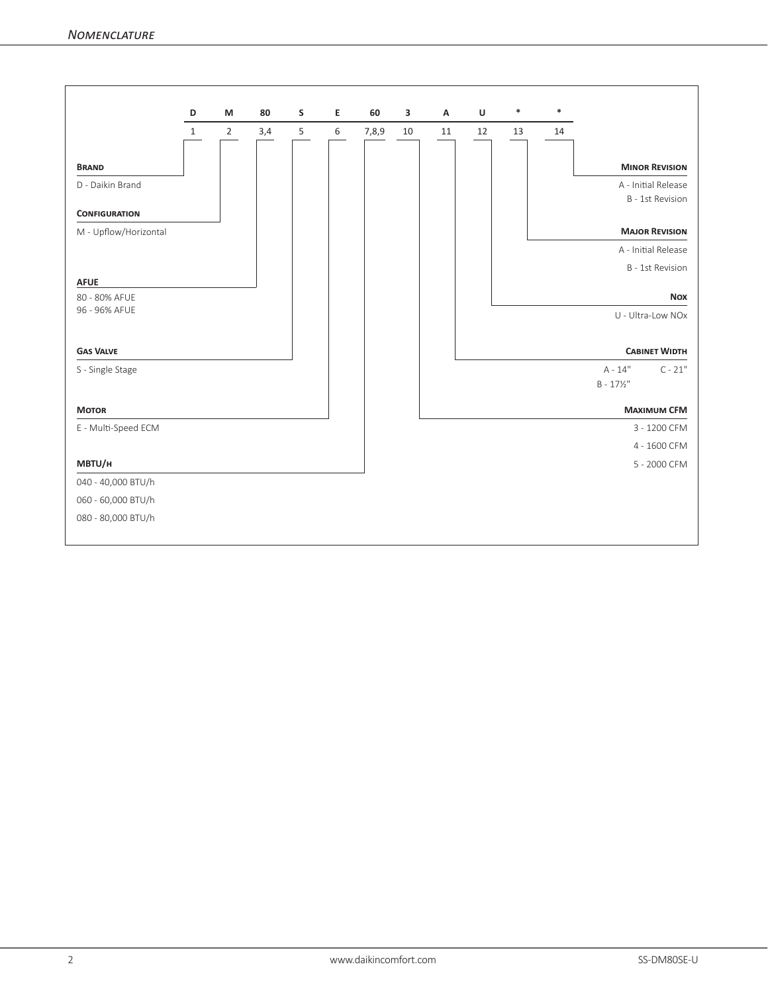|                                |                   | M              | 80  |        | Е | 60    | 3  | A  | U  | $\ast$     | *  |                     |                       |  |
|--------------------------------|-------------------|----------------|-----|--------|---|-------|----|----|----|------------|----|---------------------|-----------------------|--|
|                                | D<br>$\mathbf{1}$ | $\overline{2}$ | 3,4 | S<br>5 | 6 | 7,8,9 | 10 | 11 | 12 | 13         | 14 |                     |                       |  |
|                                |                   |                |     |        |   |       |    |    |    |            |    |                     |                       |  |
| <b>BRAND</b>                   |                   |                |     |        |   |       |    |    |    |            |    |                     | <b>MINOR REVISION</b> |  |
| D - Daikin Brand               |                   |                |     |        |   |       |    |    |    |            |    |                     | A - Initial Release   |  |
|                                |                   |                |     |        |   |       |    |    |    |            |    |                     | B - 1st Revision      |  |
| <b>CONFIGURATION</b>           |                   |                |     |        |   |       |    |    |    |            |    |                     |                       |  |
| M - Upflow/Horizontal          |                   |                |     |        |   |       |    |    |    |            |    |                     | <b>MAJOR REVISION</b> |  |
|                                |                   |                |     |        |   |       |    |    |    |            |    |                     | A - Initial Release   |  |
|                                |                   |                |     |        |   |       |    |    |    |            |    |                     | B - 1st Revision      |  |
| <b>AFUE</b>                    |                   |                |     |        |   |       |    |    |    |            |    |                     |                       |  |
| 80 - 80% AFUE<br>96 - 96% AFUE |                   |                |     |        |   |       |    |    |    | <b>Nox</b> |    |                     |                       |  |
|                                |                   |                |     |        |   |       |    |    |    |            |    |                     | U - Ultra-Low NOx     |  |
|                                |                   |                |     |        |   |       |    |    |    |            |    |                     |                       |  |
| <b>GAS VALVE</b>               |                   |                |     |        |   |       |    |    |    |            |    |                     | <b>CABINET WIDTH</b>  |  |
| S - Single Stage               |                   |                |     |        |   |       |    |    |    |            |    | $A - 14"$           | $C - 21"$             |  |
|                                |                   |                |     |        |   |       |    |    |    |            |    | $B - 17\frac{1}{2}$ |                       |  |
| <b>MOTOR</b>                   |                   |                |     |        |   |       |    |    |    |            |    |                     | <b>MAXIMUM CFM</b>    |  |
| E - Multi-Speed ECM            |                   |                |     |        |   |       |    |    |    |            |    |                     | 3 - 1200 CFM          |  |
|                                |                   |                |     |        |   |       |    |    |    |            |    |                     | 4 - 1600 CFM          |  |
| MBTU/H                         |                   |                |     |        |   |       |    |    |    |            |    |                     | 5 - 2000 CFM          |  |
| 040 - 40,000 BTU/h             |                   |                |     |        |   |       |    |    |    |            |    |                     |                       |  |
| 060 - 60,000 BTU/h             |                   |                |     |        |   |       |    |    |    |            |    |                     |                       |  |
| 080 - 80,000 BTU/h             |                   |                |     |        |   |       |    |    |    |            |    |                     |                       |  |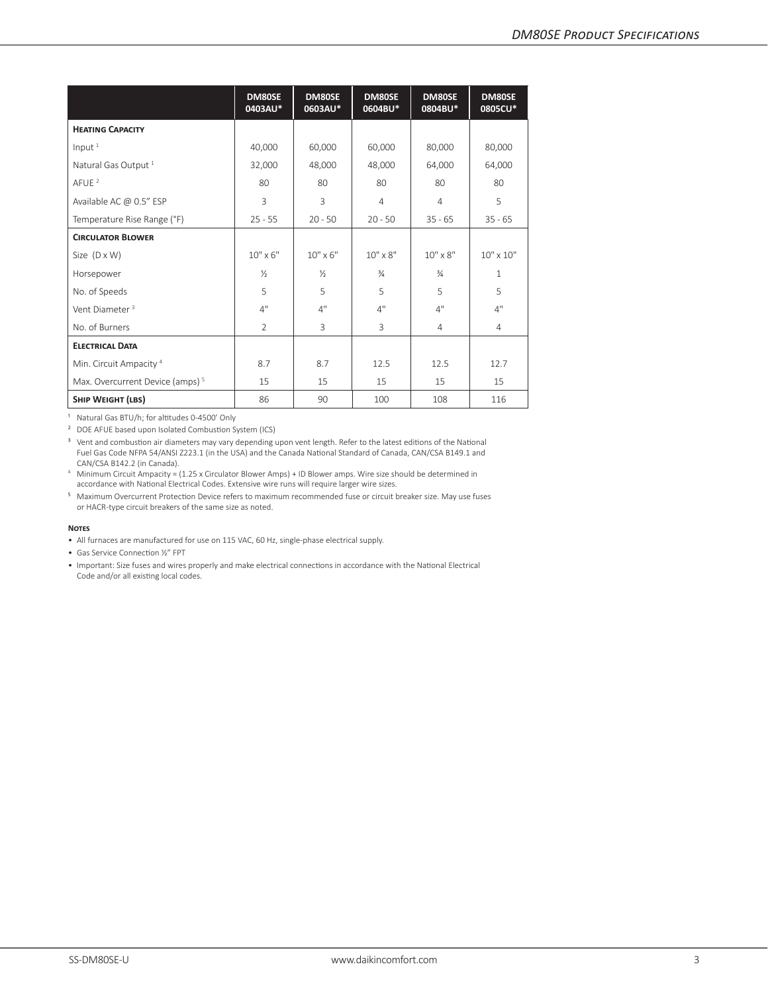|                                             | DM80SE<br>0403AU* | DM80SE<br>0603AU* | DM80SE<br>0604BU* | DM80SE<br>0804BU* | DM80SE<br>0805CU*  |  |
|---------------------------------------------|-------------------|-------------------|-------------------|-------------------|--------------------|--|
| <b>HEATING CAPACITY</b>                     |                   |                   |                   |                   |                    |  |
| Input $1$                                   | 40,000            | 60,000            | 60,000            | 80,000            | 80,000             |  |
| Natural Gas Output <sup>1</sup>             | 32,000            | 48,000            | 48,000            | 64,000            | 64,000             |  |
| AFUE <sup>2</sup>                           | 80                | 80                | 80                | 80                | 80                 |  |
| Available AC @ 0.5" ESP                     | 3                 | 3                 | $\overline{4}$    | $\overline{4}$    | 5                  |  |
| Temperature Rise Range (°F)                 | $25 - 55$         | $20 - 50$         | $20 - 50$         | $35 - 65$         | $35 - 65$          |  |
| <b>CIRCULATOR BLOWER</b>                    |                   |                   |                   |                   |                    |  |
| Size $(D \times W)$                         | $10" \times 6"$   | $10'' \times 6''$ | $10'' \times 8''$ | $10'' \times 8''$ | $10'' \times 10''$ |  |
| Horsepower                                  | $\frac{1}{2}$     | $\frac{1}{2}$     | $\frac{3}{4}$     | $\frac{3}{4}$     | 1                  |  |
| No. of Speeds                               | $\overline{5}$    | 5                 | $\overline{5}$    | 5                 | 5                  |  |
| Vent Diameter <sup>3</sup>                  | 4"                | 4"                | 4"                | 4"                | 4"                 |  |
| No. of Burners                              | 2                 | 3                 | 3                 | $\overline{4}$    | 4                  |  |
| <b>ELECTRICAL DATA</b>                      |                   |                   |                   |                   |                    |  |
| Min. Circuit Ampacity <sup>4</sup>          | 8.7               | 8.7               | 12.5              | 12.5              | 12.7               |  |
| Max. Overcurrent Device (amps) <sup>5</sup> | 15                | 15                | 15                | 15                | 15                 |  |
| SHIP WEIGHT (LBS)                           | 86                | 90                | 100               | 108               | 116                |  |

<sup>1</sup> Natural Gas BTU/h; for altitudes 0-4500' Only

<sup>2</sup> DOE AFUE based upon Isolated Combustion System (ICS)

<sup>3</sup> Vent and combustion air diameters may vary depending upon vent length. Refer to the latest editions of the National Fuel Gas Code NFPA 54/ANSI Z223.1 (in the USA) and the Canada National Standard of Canada, CAN/CSA B149.1 and<br>CAN/CSA B142.2 (in Canada).

<sup>4</sup> Minimum Circuit Ampacity = (1.25 x Circulator Blower Amps) + ID Blower amps. Wire size should be determined in accordance with National Electrical Codes. Extensive wire runs will require larger wire sizes.

⁵ Maximum Overcurrent Protection Device refers to maximum recommended fuse or circuit breaker size. May use fuses or HACR-type circuit breakers of the same size as noted. 

### **Notes**

• All furnaces are manufactured for use on 115 VAC, 60 Hz, single-phase electrical supply.

• Gas Service Connection ½" FPT

• Important: Size fuses and wires properly and make electrical connections in accordance with the National Electrical Code and/or all existing local codes.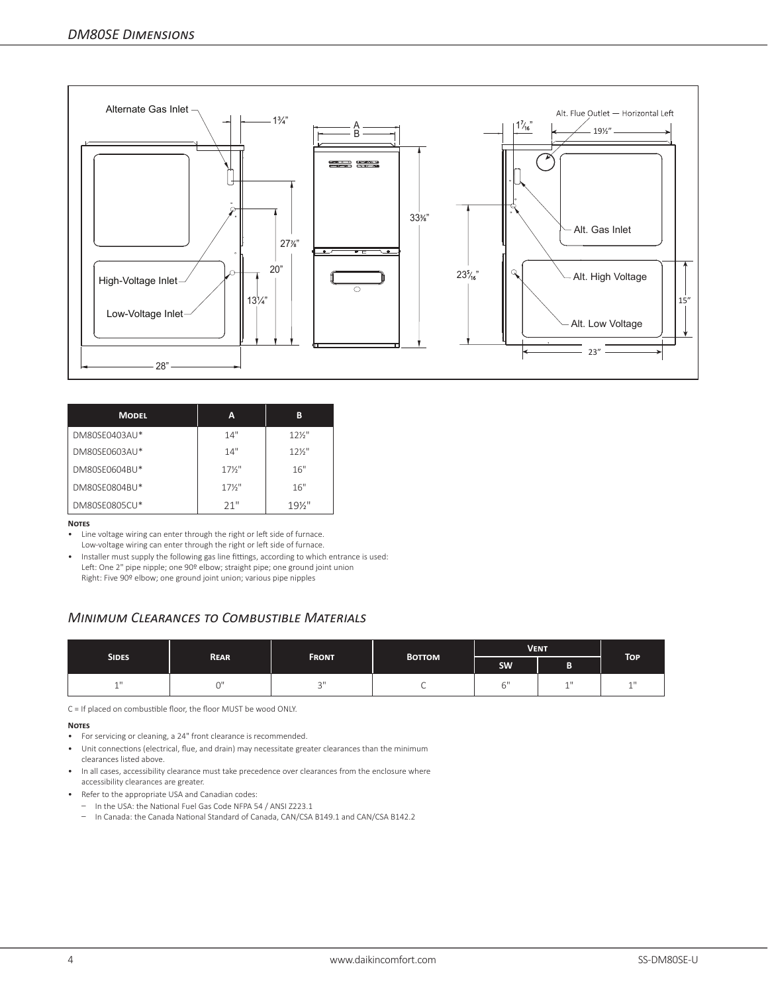

| <b>MODEL</b>  | А               | в               |
|---------------|-----------------|-----------------|
| DM80SE0403AU* | 14"             | $12\frac{1}{2}$ |
| DM80SF0603AU* | 14"             | $12\frac{1}{2}$ |
| DM80SF0604BU* | $17\frac{1}{2}$ | 16"             |
| DM80SE0804BU* | $17\frac{1}{2}$ | 16"             |
| DM80SE0805CU* | 21"             | $19\frac{1}{2}$ |

## **Notes**

- Line voltage wiring can enter through the right or left side of furnace. Low-voltage wiring can enter through the right or left side of furnace.
- Installer must supply the following gas line fittings, according to which entrance is used: Left: One 2" pipe nipple; one 90º elbow; straight pipe; one ground joint union Right: Five 90º elbow; one ground joint union; various pipe nipples

## *Minimum Clearances to Combustible Materials*

|                    |             |              |               | <b>VENT</b> |              |                  |  |
|--------------------|-------------|--------------|---------------|-------------|--------------|------------------|--|
| SIDES <sup>'</sup> | <b>REAR</b> | <b>FRONT</b> | <b>BOTTOM</b> | SW          | в<br>в       | TOP <sup>1</sup> |  |
| 4H                 | $\sim$      | $\sim$       | ◡             |             | $\mathbf{A}$ | 11               |  |

C = If placed on combustible floor, the floor MUST be wood ONLY.

## **Notes**

- For servicing or cleaning, a 24" front clearance is recommended.
- Unit connections (electrical, flue, and drain) may necessitate greater clearances than the minimum clearances listed above.
- In all cases, accessibility clearance must take precedence over clearances from the enclosure where accessibility clearances are greater.
- Refer to the appropriate USA and Canadian codes:
	- In the USA: the National Fuel Gas Code NFPA 54 / ANSI Z223.1
	- In Canada: the Canada National Standard of Canada, CAN/CSA B149.1 and CAN/CSA B142.2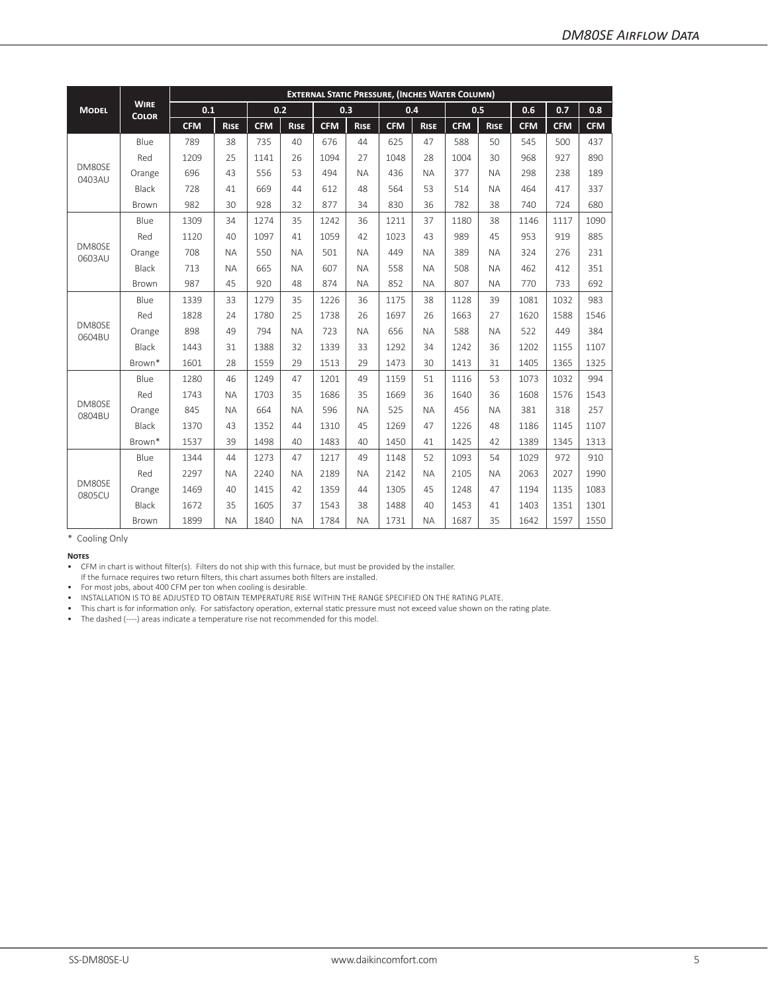|                  | <b>WIRE</b><br><b>COLOR</b> | <b>EXTERNAL STATIC PRESSURE, (INCHES WATER COLUMN)</b> |             |            |             |            |             |            |             |            |             |            |            |            |
|------------------|-----------------------------|--------------------------------------------------------|-------------|------------|-------------|------------|-------------|------------|-------------|------------|-------------|------------|------------|------------|
| <b>MODEL</b>     |                             | 0.1                                                    |             | 0.2        |             |            | 0.3         |            | 0.4         |            | 0.5         | 0.6        | 0.7        | 0.8        |
|                  |                             | <b>CFM</b>                                             | <b>RISE</b> | <b>CFM</b> | <b>RISE</b> | <b>CFM</b> | <b>RISE</b> | <b>CFM</b> | <b>RISE</b> | <b>CFM</b> | <b>RISE</b> | <b>CFM</b> | <b>CFM</b> | <b>CFM</b> |
|                  | Blue                        | 789                                                    | 38          | 735        | 40          | 676        | 44          | 625        | 47          | 588        | 50          | 545        | 500        | 437        |
|                  | Red                         | 1209                                                   | 25          | 1141       | 26          | 1094       | 27          | 1048       | 28          | 1004       | 30          | 968        | 927        | 890        |
| DM80SE<br>0403AU | Orange                      | 696                                                    | 43          | 556        | 53          | 494        | <b>NA</b>   | 436        | <b>NA</b>   | 377        | <b>NA</b>   | 298        | 238        | 189        |
|                  | Black                       | 728                                                    | 41          | 669        | 44          | 612        | 48          | 564        | 53          | 514        | <b>NA</b>   | 464        | 417        | 337        |
|                  | Brown                       | 982                                                    | 30          | 928        | 32          | 877        | 34          | 830        | 36          | 782        | 38          | 740        | 724        | 680        |
|                  | Blue                        | 1309                                                   | 34          | 1274       | 35          | 1242       | 36          | 1211       | 37          | 1180       | 38          | 1146       | 1117       | 1090       |
|                  | Red                         | 1120                                                   | 40          | 1097       | 41          | 1059       | 42          | 1023       | 43          | 989        | 45          | 953        | 919        | 885        |
| DM80SE<br>0603AU | Orange                      | 708                                                    | <b>NA</b>   | 550        | <b>NA</b>   | 501        | <b>NA</b>   | 449        | <b>NA</b>   | 389        | <b>NA</b>   | 324        | 276        | 231        |
|                  | Black                       | 713                                                    | <b>NA</b>   | 665        | <b>NA</b>   | 607        | <b>NA</b>   | 558        | <b>NA</b>   | 508        | <b>NA</b>   | 462        | 412        | 351        |
|                  | <b>Brown</b>                | 987                                                    | 45          | 920        | 48          | 874        | <b>NA</b>   | 852        | <b>NA</b>   | 807        | <b>NA</b>   | 770        | 733        | 692        |
|                  | Blue                        | 1339                                                   | 33          | 1279       | 35          | 1226       | 36          | 1175       | 38          | 1128       | 39          | 1081       | 1032       | 983        |
|                  | Red                         | 1828                                                   | 24          | 1780       | 25          | 1738       | 26          | 1697       | 26          | 1663       | 27          | 1620       | 1588       | 1546       |
| DM80SE<br>0604BU | Orange                      | 898                                                    | 49          | 794        | <b>NA</b>   | 723        | <b>NA</b>   | 656        | <b>NA</b>   | 588        | <b>NA</b>   | 522        | 449        | 384        |
|                  | Black                       | 1443                                                   | 31          | 1388       | 32          | 1339       | 33          | 1292       | 34          | 1242       | 36          | 1202       | 1155       | 1107       |
|                  | Brown*                      | 1601                                                   | 28          | 1559       | 29          | 1513       | 29          | 1473       | 30          | 1413       | 31          | 1405       | 1365       | 1325       |
|                  | Blue                        | 1280                                                   | 46          | 1249       | 47          | 1201       | 49          | 1159       | 51          | 1116       | 53          | 1073       | 1032       | 994        |
|                  | Red                         | 1743                                                   | <b>NA</b>   | 1703       | 35          | 1686       | 35          | 1669       | 36          | 1640       | 36          | 1608       | 1576       | 1543       |
| DM80SE<br>0804BU | Orange                      | 845                                                    | <b>NA</b>   | 664        | <b>NA</b>   | 596        | <b>NA</b>   | 525        | <b>NA</b>   | 456        | <b>NA</b>   | 381        | 318        | 257        |
|                  | Black                       | 1370                                                   | 43          | 1352       | 44          | 1310       | 45          | 1269       | 47          | 1226       | 48          | 1186       | 1145       | 1107       |
|                  | Brown*                      | 1537                                                   | 39          | 1498       | 40          | 1483       | 40          | 1450       | 41          | 1425       | 42          | 1389       | 1345       | 1313       |
|                  | Blue                        | 1344                                                   | 44          | 1273       | 47          | 1217       | 49          | 1148       | 52          | 1093       | 54          | 1029       | 972        | 910        |
|                  | Red                         | 2297                                                   | <b>NA</b>   | 2240       | <b>NA</b>   | 2189       | <b>NA</b>   | 2142       | <b>NA</b>   | 2105       | <b>NA</b>   | 2063       | 2027       | 1990       |
| DM80SE<br>0805CU | Orange                      | 1469                                                   | 40          | 1415       | 42          | 1359       | 44          | 1305       | 45          | 1248       | 47          | 1194       | 1135       | 1083       |
|                  | Black                       | 1672                                                   | 35          | 1605       | 37          | 1543       | 38          | 1488       | 40          | 1453       | 41          | 1403       | 1351       | 1301       |
|                  | Brown                       | 1899                                                   | <b>NA</b>   | 1840       | <b>NA</b>   | 1784       | <b>NA</b>   | 1731       | <b>NA</b>   | 1687       | 35          | 1642       | 1597       | 1550       |

\* Cooling Only

**Notes**

• CFM in chart is without filter(s). Filters do not ship with this furnace, but must be provided by the installer.

If the furnace requires two return filters, this chart assumes both filters are installed.

• For most jobs, about 400 CFM per ton when cooling is desirable.

• INSTALLATION IS TO BE ADJUSTED TO OBTAIN TEMPERATURE RISE WITHIN THE RANGE SPECIFIED ON THE RATING PLATE.

• This chart is for information only. For satisfactory operation, external static pressure must not exceed value shown on the rating plate.

• The dashed (----) areas indicate a temperature rise not recommended for this model.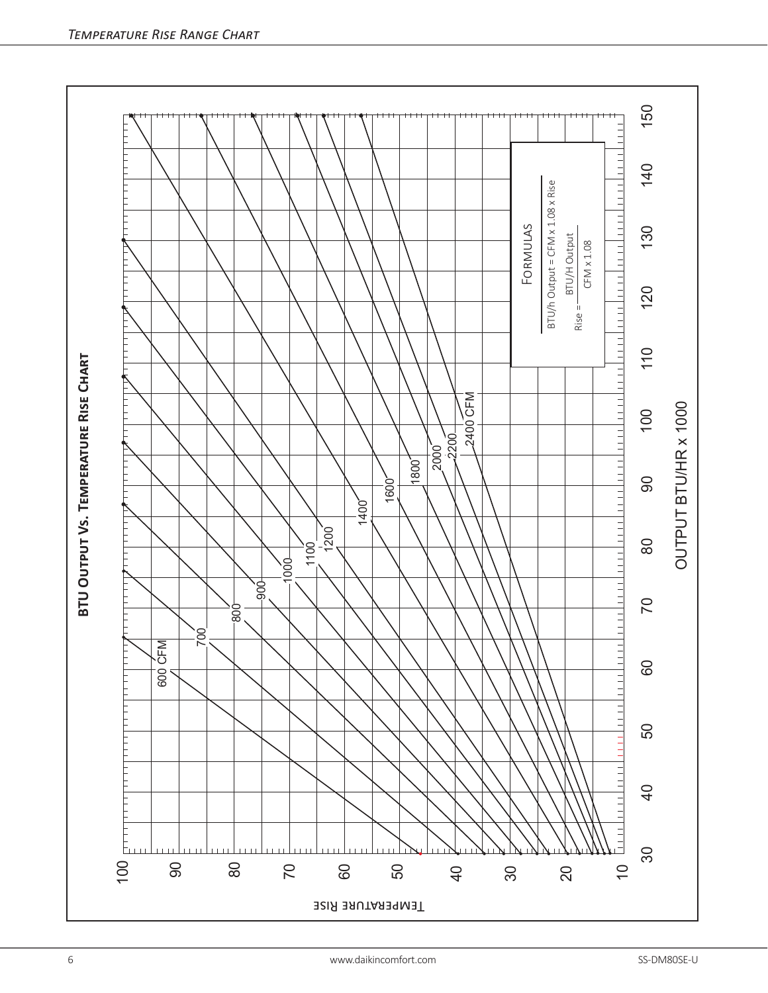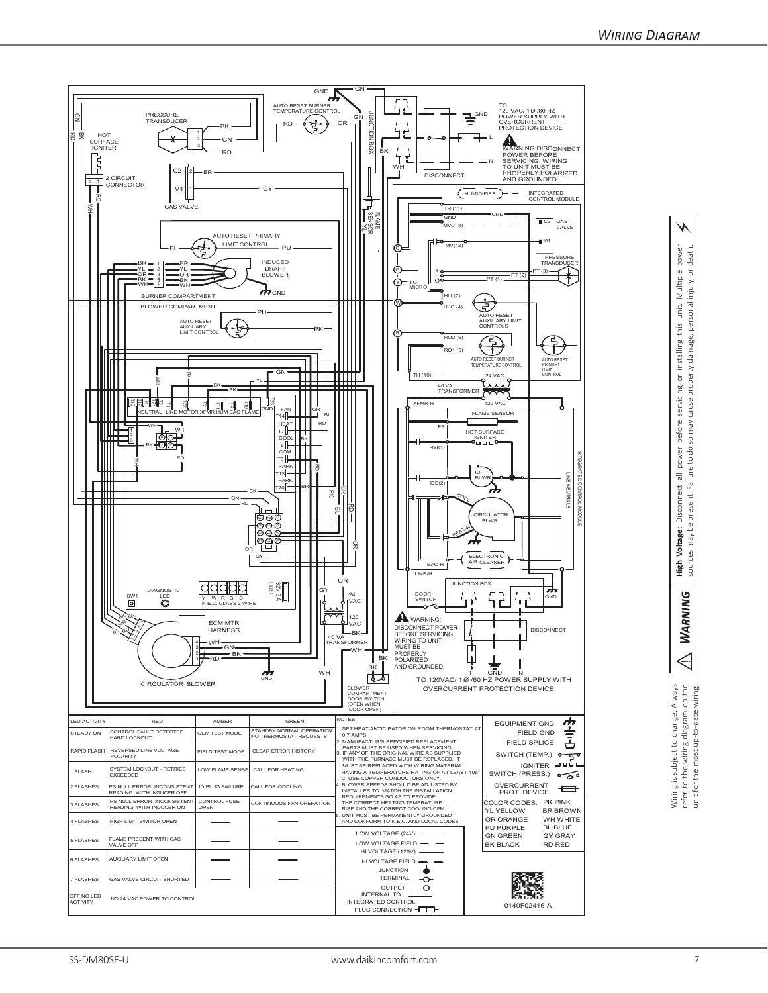

power *Warning* **High Voltage:** Disconnect all power before servicing or installing this unit. Multiple power sources may be present. Failure to do so may cause property damage, personal injury, or death. death. injury, or power before servicing or installing this unit. Multiple cause property damage, personal yew os to do s Failure t **High Voltage:** Disconnect all<br>sources may be present. Failure **WARNING**  $\triangleleft$ 

⚡

Wiring is subject to change. Always<br>refer to the wiring diagram on the<br>unit for the most up-to-date wiring.